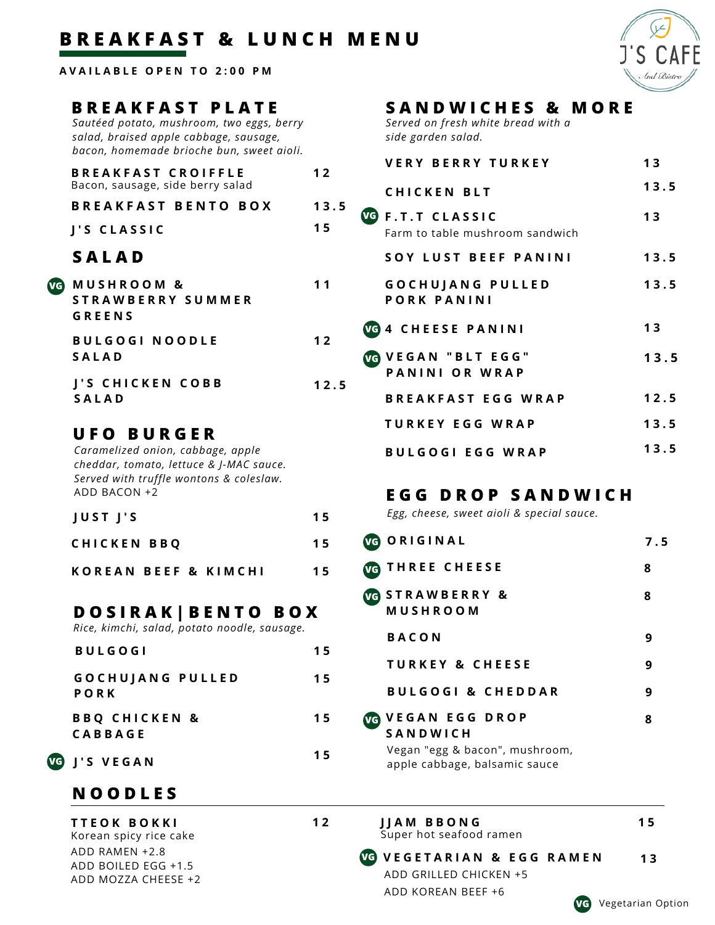## **B R E A K F A S T & L U N C H M E N U**

**A V A I L A B L E O P E N T O 2 : 0 0 P M**

#### **B R E A K F A S T P L A T E**

*Sautéed potato, mushroom, two eggs, berry salad, braised apple cabbage, sausage, bacon, homemade brioche bun, sweet aioli.*

| <b>BREAKFAST CROIFFLE</b><br>Bacon, sausage, side berry salad | 12   |
|---------------------------------------------------------------|------|
| <b>BREAKFAST BENTO BOX</b>                                    | 13.5 |
| J'S CLASSIC                                                   | 15   |
| <b>SALAD</b>                                                  |      |
|                                                               |      |

| VG) | <b>MUSHROOM &amp;</b><br>STRAWBERRY SUMMER<br>GREENS |      |
|-----|------------------------------------------------------|------|
|     | <b>BULGOGI NOODLE</b><br><b>SALAD</b>                | 12   |
|     | J'S CHICKEN COBB<br><b>SALAD</b>                     | 12.5 |

#### **U F O B U R G E R**

*Caramelized onion, cabbage, apple cheddar, tomato, lettuce & J-MAC sauce. Served with truffle wontons & coleslaw.* ADD BACON +2

| JUST J'S |  |  | 15 |
|----------|--|--|----|
|          |  |  |    |

| <b>CHICKEN BBQ</b> |  | 15 |
|--------------------|--|----|
|                    |  |    |

|  |  | KOREAN BEEF & KIMCHI | 15 |
|--|--|----------------------|----|
|  |  |                      |    |

#### **D O S I R A K | B E N T O B O X**

*Rice, kimchi, salad, potato noodle, sausage.*

| <b>BULGOGI</b>                             | 15 |
|--------------------------------------------|----|
| <b>GOCHUJANG PULLED</b><br><b>PORK</b>     | 15 |
| <b>BBQ CHICKEN &amp;</b><br><b>CABBAGE</b> | 15 |
| J'S VEGAN                                  | 15 |

### **N O O D L E S**

**VG J ' S V E G A N**

**T T E O K B O K K I** Korean spicy rice cake ADD RAMEN +2.8 ADD BOILED EGG +1.5 ADD MOZZA CHEESE +2

# **S A N D W I C H E S & M O R E**

*Served on fresh white bread with a side garden salad.*

| <b>VERY BERRY TURKEY</b>                            | 13   |
|-----------------------------------------------------|------|
| <b>CHICKEN BLT</b>                                  | 13.5 |
| VG F.T.T CLASSIC<br>Farm to table mushroom sandwich | 13   |
| SOY LUST BEEF PANINI                                | 13.5 |
| <b>GOCHUJANG PULLED</b><br>PORK PANINI              | 13.5 |
| <b>VG 4 CHEESE PANINI</b>                           | 13   |
| <b>VG VEGAN "BLT EGG"</b><br>PANINI OR WRAP         | 13.5 |
| <b>BREAKFAST EGG WRAP</b>                           | 12.5 |
| TURKEY EGG WRAP                                     | 13.5 |
| <b>BULGOGI EGG WRAP</b>                             | 13.5 |

### **E G G D R O P S A N D W I C H**

*Egg, cheese, sweet aioli & special sauce.*

| 7.5 |
|-----|
| 8   |
| 8   |
| 9   |
| 9   |
| 9   |
| 8   |
|     |

**V E G E T A R I A N & E G G R A M E N 1 3 VG**

apple cabbage, balsamic sauce

**J J A M B B O N G** Super hot seafood ramen

**1 2**

ADD GRILLED CHICKEN +5 ADD KOREAN BEEF +6

**1 5**